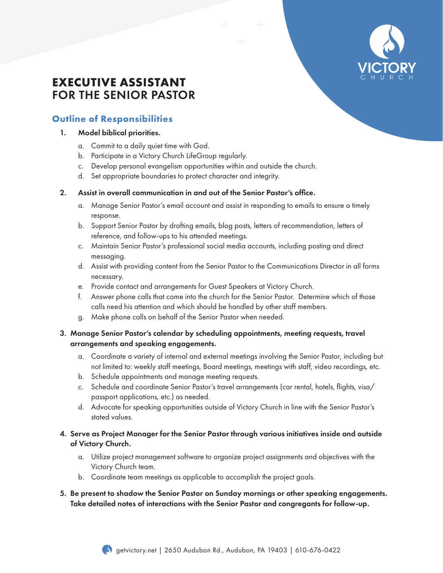

# **EXECUTIVE ASSISTANT**  FOR THE SENIOR PASTOR

# **Outline of Responsibilities**

#### 1. Model biblical priorities.

- a. Commit to a daily quiet time with God.
- b. Participate in a Victory Church LifeGroup regularly.
- c. Develop personal evangelism opportunities within and outside the church.
- d. Set appropriate boundaries to protect character and integrity.

#### 2. Assist in overall communication in and out of the Senior Pastor's office.

- a. Manage Senior Pastor's email account and assist in responding to emails to ensure a timely response.
- b. Support Senior Pastor by drafting emails, blog posts, letters of recommendation, letters of reference, and follow-ups to his attended meetings.
- c. Maintain Senior Pastor's professional social media accounts, including posting and direct messaging.
- d. Assist with providing content from the Senior Pastor to the Communications Director in all forms necessary.
- e. Provide contact and arrangements for Guest Speakers at Victory Church.
- f. Answer phone calls that come into the church for the Senior Pastor. Determine which of those calls need his attention and which should be handled by other staff members.
- g. Make phone calls on behalf of the Senior Pastor when needed.
- 3. Manage Senior Pastor's calendar by scheduling appointments, meeting requests, travel arrangements and speaking engagements.
	- a. Coordinate a variety of internal and external meetings involving the Senior Pastor, including but not limited to: weekly staff meetings, Board meetings, meetings with staff, video recordings, etc.
	- b. Schedule appointments and manage meeting requests.
	- c. Schedule and coordinate Senior Pastor's travel arrangements (car rental, hotels, flights, visa/ passport applications, etc.) as needed.
	- d. Advocate for speaking opportunities outside of Victory Church in line with the Senior Pastor's stated values.

#### 4. Serve as Project Manager for the Senior Pastor through various initiatives inside and outside of Victory Church.

- a. Utilize project management software to organize project assignments and objectives with the Victory Church team.
- b. Coordinate team meetings as applicable to accomplish the project goals.

#### 5. Be present to shadow the Senior Pastor on Sunday mornings or other speaking engagements. Take detailed notes of interactions with the Senior Pastor and congregants for follow-up.